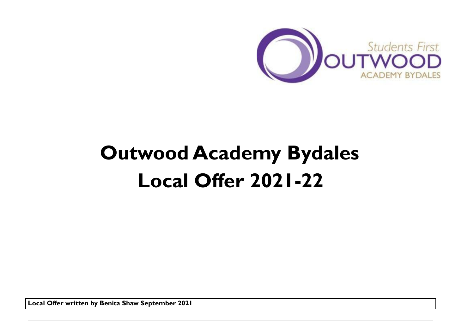

# **Outwood Academy Bydales Local Offer 2021-22**

**Local Offer written by Benita Shaw September 2021**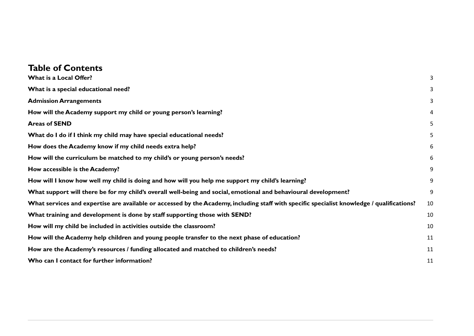# **Table of Contents**

| What is a Local Offer?                                                                                                                     | 3  |
|--------------------------------------------------------------------------------------------------------------------------------------------|----|
| What is a special educational need?                                                                                                        | 3  |
| <b>Admission Arrangements</b>                                                                                                              | 3  |
| How will the Academy support my child or young person's learning?                                                                          | 4  |
| <b>Areas of SEND</b>                                                                                                                       | 5  |
| What do I do if I think my child may have special educational needs?                                                                       | 5  |
| How does the Academy know if my child needs extra help?                                                                                    | 6  |
| How will the curriculum be matched to my child's or young person's needs?                                                                  | 6  |
| How accessible is the Academy?                                                                                                             | 9  |
| How will I know how well my child is doing and how will you help me support my child's learning?                                           | 9  |
| What support will there be for my child's overall well-being and social, emotional and behavioural development?                            | 9  |
| What services and expertise are available or accessed by the Academy, including staff with specific specialist knowledge / qualifications? | 10 |
| What training and development is done by staff supporting those with SEND?                                                                 | 10 |
| How will my child be included in activities outside the classroom?                                                                         | 10 |
| How will the Academy help children and young people transfer to the next phase of education?                                               | 11 |
| How are the Academy's resources / funding allocated and matched to children's needs?                                                       | 11 |
| Who can I contact for further information?                                                                                                 | 11 |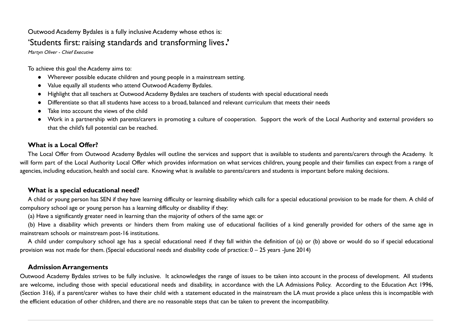# Outwood Academy Bydales is a fully inclusive Academy whose ethos is: 'Students first: raising standards and transforming lives.'

Martyn Oliver - Chief Executive

To achieve this goal the Academy aims to:

- Wherever possible educate children and young people in a mainstream setting.
- Value equally all students who attend Outwood Academy Bydales.
- Highlight that all teachers at Outwood Academy Bydales are teachers of students with special educational needs
- Differentiate so that all students have access to a broad, balanced and relevant curriculum that meets their needs
- Take into account the views of the child
- Work in a partnership with parents/carers in promoting a culture of cooperation. Support the work of the Local Authority and external providers so that the child's full potential can be reached.

#### <span id="page-2-0"></span>**What is a Local Offer?**

The Local Offer from Outwood Academy Bydales will outline the services and support that is available to students and parents/carers through the Academy. It will form part of the Local Authority Local Offer which provides information on what services children, young people and their families can expect from a range of agencies, including education, health and social care. Knowing what is available to parents/carers and students is important before making decisions.

#### <span id="page-2-1"></span>**What is a special educational need?**

A child or young person has SEN if they have learning difficulty or learning disability which calls for a special educational provision to be made for them. A child of compulsory school age or young person has a learning difficulty or disability if they:

(a) Have a significantly greater need in learning than the majority of others of the same age: or

(b) Have a disability which prevents or hinders them from making use of educational facilities of a kind generally provided for others of the same age in mainstream schools or mainstream post-16 institutions.

A child under compulsory school age has a special educational need if they fall within the definition of (a) or (b) above or would do so if special educational provision was not made for them. (Special educational needs and disability code of practice: 0 – 25 years -June 2014)

#### <span id="page-2-2"></span>**Admission Arrangements**

Outwood Academy Bydales strives to be fully inclusive. It acknowledges the range of issues to be taken into account in the process of development. All students are welcome, including those with special educational needs and disability, in accordance with the LA Admissions Policy. According to the Education Act 1996, (Section 316), if a parent/carer wishes to have their child with a statement educated in the mainstream the LA must provide a place unless this is incompatible with the efficient education of other children, and there are no reasonable steps that can be taken to prevent the incompatibility.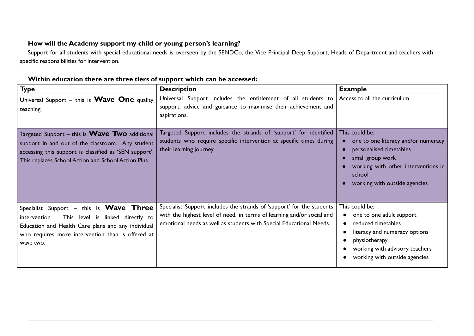# <span id="page-3-0"></span>**How will the Academy support my child or young person's learning?**

Support for all students with special educational needs is overseen by the SENDCo, the Vice Principal Deep Support, Heads of Department and teachers with specific responsibilities for intervention.

| <b>Type</b>                                                                                                                                                                                                                   | <b>Description</b>                                                                                                                                                                                                     | <b>Example</b>                                                                                                                                                                         |
|-------------------------------------------------------------------------------------------------------------------------------------------------------------------------------------------------------------------------------|------------------------------------------------------------------------------------------------------------------------------------------------------------------------------------------------------------------------|----------------------------------------------------------------------------------------------------------------------------------------------------------------------------------------|
| Universal Support $-$ this is <b>Wave One</b> quality<br>teaching.                                                                                                                                                            | Universal Support includes the entitlement of all students to<br>support, advice and guidance to maximise their achievement and<br>aspirations.                                                                        | Access to all the curriculum                                                                                                                                                           |
| Targeted Support – this is <b>Wave Two</b> additional<br>support in and out of the classroom. Any student<br>accessing this support is classified as 'SEN support'.<br>This replaces School Action and School Action Plus.    | Targeted Support includes the strands of 'support' for identified<br>students who require specific intervention at specific times during<br>their learning journey.                                                    | This could be:<br>one to one literacy and/or numeracy<br>personalised timetables<br>small group work<br>working with other interventions in<br>school<br>working with outside agencies |
| Specialist Support $-$ this is <b>Wave Three</b><br>This level is linked directly to<br>intervention.<br>Education and Health Care plans and any individual<br>who requires more intervention than is offered at<br>wave two. | Specialist Support includes the strands of 'support' for the students<br>with the highest level of need, in terms of learning and/or social and<br>emotional needs as well as students with Special Educational Needs. | This could be:<br>one to one adult support<br>reduced timetables<br>literacy and numeracy options<br>physiotherapy<br>working with advisory teachers<br>working with outside agencies  |

### **Within education there are three tiers of support which can be accessed:**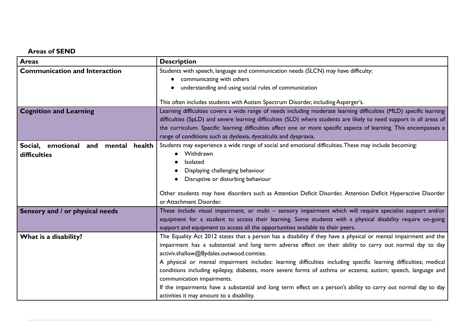# <span id="page-4-0"></span>**Areas of SEND**

| <b>Areas</b>                                        | <b>Description</b>                                                                                                                                                                                                                                                                                                                                                                                                                                                                                                                                                                                                                                                                                           |
|-----------------------------------------------------|--------------------------------------------------------------------------------------------------------------------------------------------------------------------------------------------------------------------------------------------------------------------------------------------------------------------------------------------------------------------------------------------------------------------------------------------------------------------------------------------------------------------------------------------------------------------------------------------------------------------------------------------------------------------------------------------------------------|
| <b>Communication and Interaction</b>                | Students with speech, language and communication needs (SLCN) may have difficulty:<br>• communicating with others<br>understanding and using social rules of communication<br>This often includes students with Autism Spectrum Disorder, including Asperger's.                                                                                                                                                                                                                                                                                                                                                                                                                                              |
| <b>Cognition and Learning</b>                       | Learning difficulties covers a wide range of needs including moderate learning difficulties (MLD) specific learning<br>difficulties (SpLD) and severe learning difficulties (SLD) where students are likely to need support in all areas of<br>the curriculum. Specific learning difficulties affect one or more specific aspects of learning. This encompasses a<br>range of conditions such as dyslexia, dyscalculia and dyspraxia.                                                                                                                                                                                                                                                                        |
| Social, emotional and mental health<br>difficulties | Students may experience a wide range of social and emotional difficulties. These may include becoming:<br>Withdrawn<br>Isolated<br>Displaying challenging behaviour<br>Disruptive or disturbing behaviour<br>Other students may have disorders such as Attention Deficit Disorder, Attention Deficit Hyperactive Disorder<br>or Attachment Disorder.                                                                                                                                                                                                                                                                                                                                                         |
| Sensory and / or physical needs                     | These include visual impairment, or multi - sensory impairment which will require specialist support and/or<br>equipment for a student to access their learning. Some students with a physical disability require on-going<br>support and equipment to access all the opportunities available to their peers.                                                                                                                                                                                                                                                                                                                                                                                                |
| What is a disability?                               | The Equality Act 2012 states that a person has a disability if they have a physical or mental impairment and the<br>impairment has a substantial and long term adverse effect on their ability to carry out normal day to day<br>activiv.shallow@Bydales.outwood.comties.<br>A physical or mental impairment includes: learning difficulties including specific learning difficulties; medical<br>conditions including epilepsy, diabetes, more severe forms of asthma or eczema; autism; speech, language and<br>communication impairments.<br>If the impairments have a substantial and long term effect on a person's ability to carry out normal day to day<br>activities it may amount to a disability. |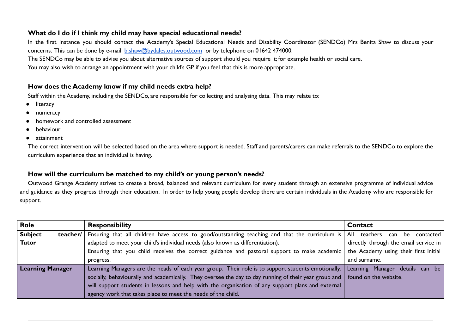#### <span id="page-5-0"></span>**What do I do if I think my child may have special educational needs?**

In the first instance you should contact the Academy's Special Educational Needs and Disability Coordinator (SENDCo) Mrs Benita Shaw to discuss your concerns. This can be done by e-mail [b.shaw@bydales.outwood.com](mailto:b.shaw@bydales.outwood.com) or by telephone on 01642 474000. The SENDCo may be able to advise you about alternative sources of support should you require it; for example health or social care.

You may also wish to arrange an appointment with your child's GP if you feel that this is more appropriate.

### <span id="page-5-1"></span>**How does the Academy know if my child needs extra help?**

Staff within the Academy, including the SENDCo, are responsible for collecting and analysing data. This may relate to:

- literacy
- numeracy
- homework and controlled assessment
- **behaviour**
- attainment

The correct intervention will be selected based on the area where support is needed. Staff and parents/carers can make referrals to the SENDCo to explore the curriculum experience that an individual is having.

#### <span id="page-5-2"></span>**How will the curriculum be matched to my child's or young person's needs?**

Outwood Grange Academy strives to create a broad, balanced and relevant curriculum for every student through an extensive programme of individual advice and guidance as they progress through their education. In order to help young people develop there are certain individuals in the Academy who are responsible for support.

| <b>Role</b>                        | <b>Responsibility</b>                                                                                                         | Contact                                   |
|------------------------------------|-------------------------------------------------------------------------------------------------------------------------------|-------------------------------------------|
| <b>Subject</b><br>teacher/ $\vert$ | Ensuring that all children have access to good/outstanding teaching and that the curriculum is                                | All<br>teachers<br>contacted<br>be<br>can |
| <b>Tutor</b>                       | adapted to meet your child's individual needs (also known as differentiation).                                                | directly through the email service in     |
|                                    | Ensuring that you child receives the correct guidance and pastoral support to make academic                                   | the Academy using their first initial     |
|                                    | progress.                                                                                                                     | and surname.                              |
| <b>Learning Manager</b>            | Learning Managers are the heads of each year group. Their role is to support students emotionally,                            | Learning Manager details<br>can be        |
|                                    | socially, behaviourally and academically. They oversee the day to day running of their year group and   found on the website. |                                           |
|                                    | will support students in lessons and help with the organisation of any support plans and external                             |                                           |
|                                    | agency work that takes place to meet the needs of the child.                                                                  |                                           |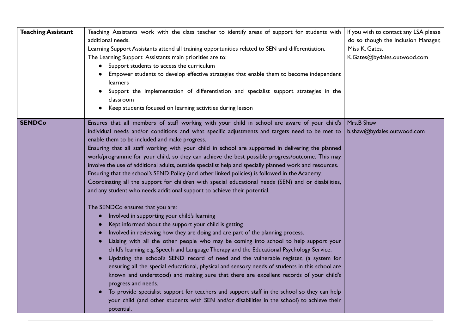| <b>Teaching Assistant</b> | Teaching Assistants work with the class teacher to identify areas of support for students with<br>additional needs.<br>Learning Support Assistants attend all training opportunities related to SEN and differentiation.<br>The Learning Support Assistants main priorities are to:<br>Support students to access the curriculum<br>$\bullet$<br>Empower students to develop effective strategies that enable them to become independent<br>learners<br>Support the implementation of differentiation and specialist support strategies in the<br>classroom<br>Keep students focused on learning activities during lesson                                                                                                                                                                                                                                                                                                                                                                                                                                                                                                                                                                                                                                                                                                                                                                                                                                                                                                                                                                                                                                                                                                                                                                                          | If you wish to contact any LSA please<br>do so though the Inclusion Manager,<br>Miss K. Gates.<br>K.Gates@bydales.outwood.com |
|---------------------------|--------------------------------------------------------------------------------------------------------------------------------------------------------------------------------------------------------------------------------------------------------------------------------------------------------------------------------------------------------------------------------------------------------------------------------------------------------------------------------------------------------------------------------------------------------------------------------------------------------------------------------------------------------------------------------------------------------------------------------------------------------------------------------------------------------------------------------------------------------------------------------------------------------------------------------------------------------------------------------------------------------------------------------------------------------------------------------------------------------------------------------------------------------------------------------------------------------------------------------------------------------------------------------------------------------------------------------------------------------------------------------------------------------------------------------------------------------------------------------------------------------------------------------------------------------------------------------------------------------------------------------------------------------------------------------------------------------------------------------------------------------------------------------------------------------------------|-------------------------------------------------------------------------------------------------------------------------------|
| <b>SENDCo</b>             | Ensures that all members of staff working with your child in school are aware of your child's<br>individual needs and/or conditions and what specific adjustments and targets need to be met to<br>enable them to be included and make progress.<br>Ensuring that all staff working with your child in school are supported in delivering the planned<br>work/programme for your child, so they can achieve the best possible progress/outcome. This may<br>involve the use of additional adults, outside specialist help and specially planned work and resources.<br>Ensuring that the school's SEND Policy (and other linked policies) is followed in the Academy.<br>Coordinating all the support for children with special educational needs (SEN) and or disabilities,<br>and any student who needs additional support to achieve their potential.<br>The SENDCo ensures that you are:<br>Involved in supporting your child's learning<br>$\bullet$<br>Kept informed about the support your child is getting<br>Involved in reviewing how they are doing and are part of the planning process.<br>Liaising with all the other people who may be coming into school to help support your<br>child's learning e.g. Speech and Language Therapy and the Educational Psychology Service.<br>Updating the school's SEND record of need and the vulnerable register, (a system for<br>ensuring all the special educational, physical and sensory needs of students in this school are<br>known and understood) and making sure that there are excellent records of your child's<br>progress and needs.<br>To provide specialist support for teachers and support staff in the school so they can help<br>your child (and other students with SEN and/or disabilities in the school) to achieve their<br>potential. | Mrs.B Shaw<br>b.shaw@bydales.outwood.com                                                                                      |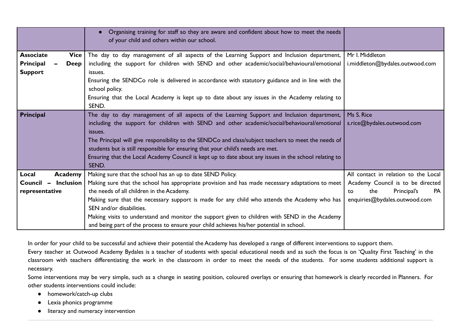|                                                                        | Organising training for staff so they are aware and confident about how to meet the needs<br>of your child and others within our school.                                                                                                                                                                                                                                                                                                                                                                                              |                                                                                                                                                     |
|------------------------------------------------------------------------|---------------------------------------------------------------------------------------------------------------------------------------------------------------------------------------------------------------------------------------------------------------------------------------------------------------------------------------------------------------------------------------------------------------------------------------------------------------------------------------------------------------------------------------|-----------------------------------------------------------------------------------------------------------------------------------------------------|
| <b>Associate</b><br>Vice<br>Principal<br><b>Deep</b><br><b>Support</b> | The day to day management of all aspects of the Learning Support and Inclusion department,<br>including the support for children with SEND and other academic/social/behavioural/emotional<br>issues.<br>Ensuring the SENDCo role is delivered in accordance with statutory guidance and in line with the<br>school policy.<br>Ensuring that the Local Academy is kept up to date about any issues in the Academy relating to<br>SEND.                                                                                                | Mr I. Middleton<br>i.middleton@bydales.outwood.com                                                                                                  |
| Principal                                                              | The day to day management of all aspects of the Learning Support and Inclusion department,<br>including the support for children with SEND and other academic/social/behavioural/emotional<br>issues.<br>The Principal will give responsibility to the SENDCo and class/subject teachers to meet the needs of<br>students but is still responsible for ensuring that your child's needs are met.<br>Ensuring that the Local Academy Council is kept up to date about any issues in the school relating to<br>SEND.                    | Ms S. Rice<br>s.rice@bydales.outwood.com                                                                                                            |
| Local<br>Academy<br><b>Inclusion</b><br>Council -<br>representative    | Making sure that the school has an up to date SEND Policy.<br>Making sure that the school has appropriate provision and has made necessary adaptations to meet<br>the needs of all children in the Academy.<br>Making sure that the necessary support is made for any child who attends the Academy who has<br>SEN and/or disabilities.<br>Making visits to understand and monitor the support given to children with SEND in the Academy<br>and being part of the process to ensure your child achieves his/her potential in school. | All contact in relation to the Local<br>Academy Council is to be directed<br>Principal's<br><b>PA</b><br>the<br>to<br>enquiries@bydales.outwood.com |

In order for your child to be successful and achieve their potential the Academy has developed a range of different interventions to support them.

Every teacher at Outwood Academy Bydales is a teacher of students with special educational needs and as such the focus is on 'Quality First Teaching' in the classroom with teachers differentiating the work in the classroom in order to meet the needs of the students. For some students additional support is necessary.

Some interventions may be very simple, such as a change in seating position, coloured overlays or ensuring that homework is clearly recorded in Planners. For other students interventions could include:

- homework/catch-up clubs
- Lexia phonics programme
- literacy and numeracy intervention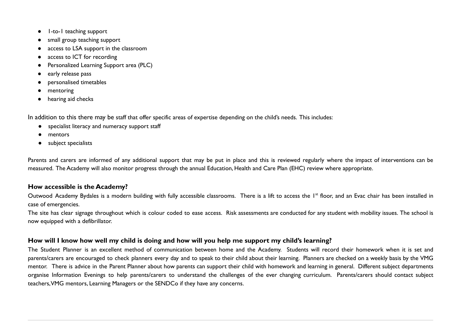- 1-to-1 teaching support
- small group teaching support
- access to LSA support in the classroom
- access to ICT for recording
- Personalized Learning Support area (PLC)
- early release pass
- personalised timetables
- mentoring
- hearing aid checks

In addition to this there may be staff that offer specific areas of expertise depending on the child's needs. This includes:

- specialist literacy and numeracy support staff
- mentors
- subject specialists

Parents and carers are informed of any additional support that may be put in place and this is reviewed regularly where the impact of interventions can be measured. The Academy will also monitor progress through the annual Education, Health and Care Plan (EHC) review where appropriate.

#### <span id="page-8-0"></span>**How accessible is the Academy?**

Outwood Academy Bydales is a modern building with fully accessible classrooms. There is a lift to access the 1<sup>st</sup> floor, and an Evac chair has been installed in case of emergencies.

The site has clear signage throughout which is colour coded to ease access. Risk assessments are conducted for any student with mobility issues. The school is now equipped with a defibrillator.

#### <span id="page-8-1"></span>**How will I know how well my child is doing and how will you help me support my child's learning?**

The Student Planner is an excellent method of communication between home and the Academy. Students will record their homework when it is set and parents/carers are encouraged to check planners every day and to speak to their child about their learning. Planners are checked on a weekly basis by the VMG mentor. There is advice in the Parent Planner about how parents can support their child with homework and learning in general. Different subject departments organise Information Evenings to help parents/carers to understand the challenges of the ever changing curriculum. Parents/carers should contact subject teachers,VMG mentors, Learning Managers or the SENDCo if they have any concerns.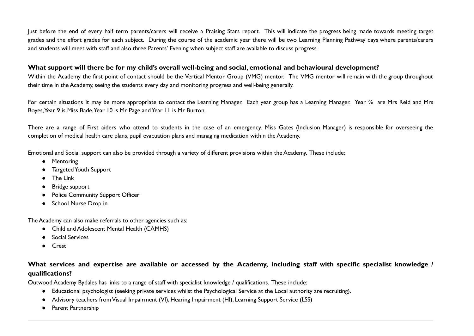Just before the end of every half term parents/carers will receive a Praising Stars report. This will indicate the progress being made towards meeting target grades and the effort grades for each subject. During the course of the academic year there will be two Learning Planning Pathway days where parents/carers and students will meet with staff and also three Parents' Evening when subject staff are available to discuss progress.

#### <span id="page-9-0"></span>**What support will there be for my child's overall well-being and social, emotional and behavioural development?**

Within the Academy the first point of contact should be the Vertical Mentor Group (VMG) mentor. The VMG mentor will remain with the group throughout their time in the Academy, seeing the students every day and monitoring progress and well-being generally.

For certain situations it may be more appropriate to contact the Learning Manager. Each year group has a Learning Manager. Year  $\frac{7}{8}$  are Mrs Reid and Mrs Boyes, Year 9 is Miss Bade, Year 10 is Mr Page and Year 11 is Mr Burton.

There are a range of First aiders who attend to students in the case of an emergency. Miss Gates (Inclusion Manager) is responsible for overseeing the completion of medical health care plans, pupil evacuation plans and managing medication within the Academy.

Emotional and Social support can also be provided through a variety of different provisions within the Academy. These include:

- Mentoring
- TargetedYouth Support
- The Link
- Bridge support
- Police Community Support Officer
- School Nurse Drop in

The Academy can also make referrals to other agencies such as:

- Child and Adolescent Mental Health (CAMHS)
- Social Services
- Crest

# <span id="page-9-1"></span>What services and expertise are available or accessed by the Academy, including staff with specific specialist knowledge / **qualifications?**

Outwood Academy Bydales has links to a range of staff with specialist knowledge / qualifications. These include:

- Educational psychologist (seeking private services whilst the Psychological Service at the Local authority are recruiting).
- Advisory teachers fromVisual Impairment (VI), Hearing Impairment (HI), Learning Support Service (LSS)
- Parent Partnership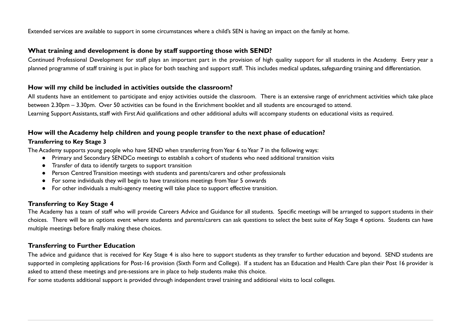Extended services are available to support in some circumstances where a child's SEN is having an impact on the family at home.

#### <span id="page-10-0"></span>**What training and development is done by staff supporting those with SEND?**

Continued Professional Development for staff plays an important part in the provision of high quality support for all students in the Academy. Every year a planned programme of staff training is put in place for both teaching and support staff. This includes medical updates, safeguarding training and differentiation.

#### <span id="page-10-1"></span>**How will my child be included in activities outside the classroom?**

All students have an entitlement to participate and enjoy activities outside the classroom. There is an extensive range of enrichment activities which take place between 2.30pm – 3.30pm. Over 50 activities can be found in the Enrichment booklet and all students are encouraged to attend. Learning Support Assistants, staff with First Aid qualifications and other additional adults will accompany students on educational visits as required.

#### <span id="page-10-2"></span>**How will the Academy help children and young people transfer to the next phase of education?**

#### **Transferring to Key Stage 3**

The Academy supports young people who have SEND when transferring fromYear 6 toYear 7 in the following ways:

- Primary and Secondary SENDCo meetings to establish a cohort of students who need additional transition visits
- Transfer of data to identify targets to support transition
- Person Centred Transition meetings with students and parents/carers and other professionals
- For some individuals they will begin to have transitions meetings fromYear 5 onwards
- For other individuals a multi-agency meeting will take place to support effective transition.

# **Transferring to Key Stage 4**

The Academy has a team of staff who will provide Careers Advice and Guidance for all students. Specific meetings will be arranged to support students in their choices. There will be an options event where students and parents/carers can ask questions to select the best suite of Key Stage 4 options. Students can have multiple meetings before finally making these choices.

#### **Transferring to Further Education**

The advice and guidance that is received for Key Stage 4 is also here to support students as they transfer to further education and beyond. SEND students are supported in completing applications for Post-16 provision (Sixth Form and College). If a student has an Education and Health Care plan their Post 16 provider is asked to attend these meetings and pre-sessions are in place to help students make this choice.

For some students additional support is provided through independent travel training and additional visits to local colleges.